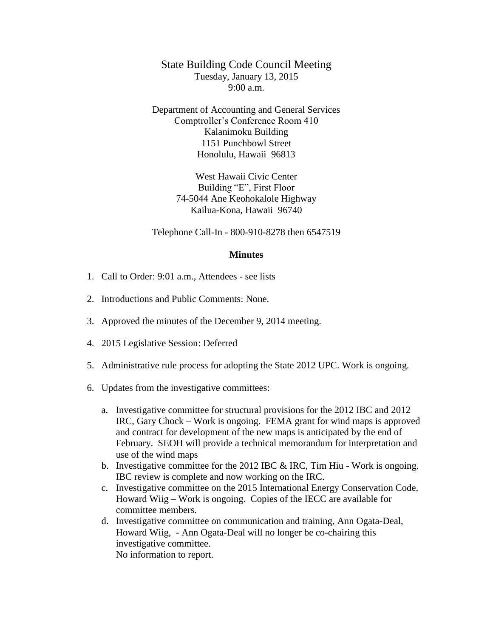State Building Code Council Meeting Tuesday, January 13, 2015  $9:00 a.m.$ 

Department of Accounting and General Services Comptroller's Conference Room 410 Kalanimoku Building 1151 Punchbowl Street Honolulu, Hawaii 96813

> West Hawaii Civic Center Building "E", First Floor 74-5044 Ane Keohokalole Highway Kailua-Kona, Hawaii 96740

Telephone Call-In - 800-910-8278 then 6547519

## **Minutes**

- 1. Call to Order: 9:01 a.m., Attendees see lists
- 2. Introductions and Public Comments: None.
- 3. Approved the minutes of the December 9, 2014 meeting.
- 4. 2015 Legislative Session: Deferred
- 5. Administrative rule process for adopting the State 2012 UPC. Work is ongoing.
- 6. Updates from the investigative committees:
	- a. Investigative committee for structural provisions for the 2012 IBC and 2012 IRC, Gary Chock – Work is ongoing. FEMA grant for wind maps is approved and contract for development of the new maps is anticipated by the end of February. SEOH will provide a technical memorandum for interpretation and use of the wind maps
	- b. Investigative committee for the 2012 IBC & IRC, Tim Hiu Work is ongoing. IBC review is complete and now working on the IRC.
	- c. Investigative committee on the 2015 International Energy Conservation Code, Howard Wiig – Work is ongoing. Copies of the IECC are available for committee members.
	- d. Investigative committee on communication and training, Ann Ogata-Deal, Howard Wiig, - Ann Ogata-Deal will no longer be co-chairing this investigative committee. No information to report.